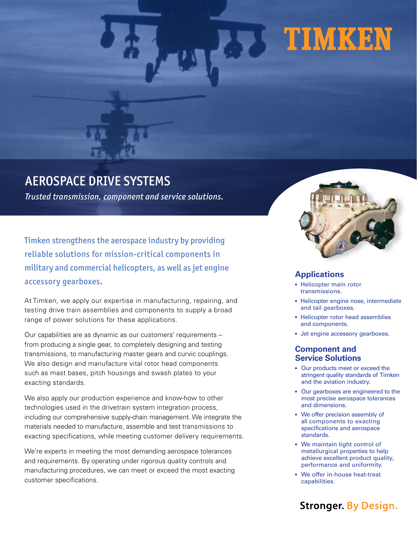# **FIMKEN**

# AEROSPACE DRIVE SYSTEMS

*Trusted transmission, component and service solutions.*

Timken strengthens the aerospace industry by providing reliable solutions for mission-critical components in military and commercial helicopters, as well as jet engine accessory gearboxes.

At Timken, we apply our expertise in manufacturing, repairing, and testing drive train assemblies and components to supply a broad range of power solutions for these applications.

Our capabilities are as dynamic as our customers' requirements – from producing a single gear, to completely designing and testing transmissions, to manufacturing master gears and curvic couplings. We also design and manufacture vital rotor head components such as mast bases, pitch housings and swash plates to your exacting standards.

We also apply our production experience and know-how to other technologies used in the drivetrain system integration process, including our comprehensive supply-chain management. We integrate the materials needed to manufacture, assemble and test transmissions to exacting specifications, while meeting customer delivery requirements.

We're experts in meeting the most demanding aerospace tolerances and requirements. By operating under rigorous quality controls and manufacturing procedures, we can meet or exceed the most exacting customer specifications.



## **Applications**

- Helicopter main rotor transmissions.
- Helicopter engine nose, intermediate and tail gearboxes.
- Helicopter rotor head assemblies and components.
- Jet engine accessory gearboxes.

#### **Component and Service Solutions**

- Our products meet or exceed the stringent quality standards of Timken and the aviation industry.
- Our gearboxes are engineered to the most precise aerospace tolerances and dimensions.
- We offer precision assembly of all components to exacting specifications and aerospace standards.
- We maintain tight control of metallurgical properties to help achieve excellent product quality, performance and uniformity.
- We offer in-house heat-treat capabilities.

## **Stronger. By Design.**